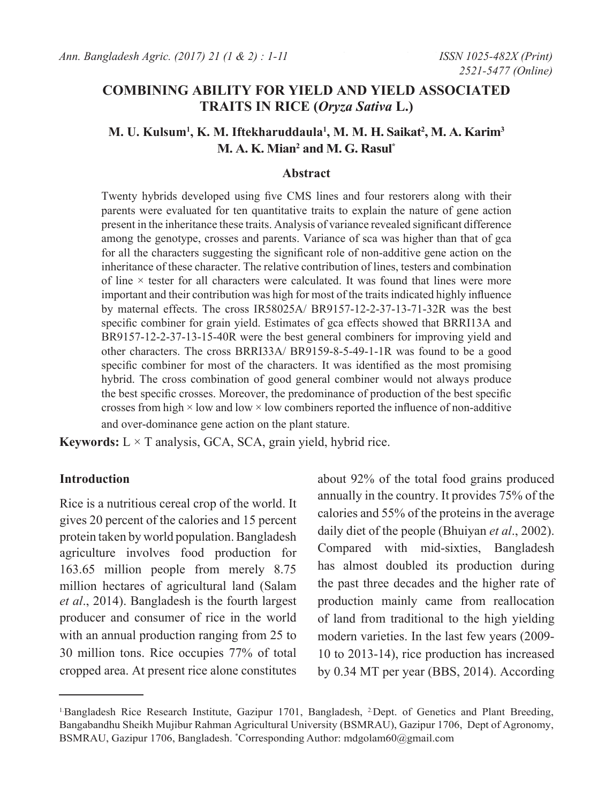# **COMBINING ABILITY FOR YIELD AND YIELD ASSOCIATED TRAITS IN RICE (***Oryza Sativa* **L.)**

## **M. U. Kulsum1 , K. M. Iftekharuddaula1 , M. M. H. Saikat2 , M. A. Karim3 M. A. K. Mian2 and M. G. Rasul\***

### **Abstract**

Twenty hybrids developed using five CMS lines and four restorers along with their parents were evaluated for ten quantitative traits to explain the nature of gene action present in the inheritance these traits. Analysis of variance revealed significant difference among the genotype, crosses and parents. Variance of sca was higher than that of gca for all the characters suggesting the significant role of non-additive gene action on the inheritance of these character. The relative contribution of lines, testers and combination of line  $\times$  tester for all characters were calculated. It was found that lines were more important and their contribution was high for most of the traits indicated highly influence by maternal effects. The cross IR58025A/ BR9157-12-2-37-13-71-32R was the best specific combiner for grain yield. Estimates of gca effects showed that BRRI13A and BR9157-12-2-37-13-15-40R were the best general combiners for improving yield and other characters. The cross BRRI33A/ BR9159-8-5-49-1-1R was found to be a good specific combiner for most of the characters. It was identified as the most promising hybrid. The cross combination of good general combiner would not always produce the best specific crosses. Moreover, the predominance of production of the best specific crosses from high  $\times$  low and low  $\times$  low combiners reported the influence of non-additive and over-dominance gene action on the plant stature.

**Keywords:**  $L \times T$  analysis, GCA, SCA, grain yield, hybrid rice.

### **Introduction**

Rice is a nutritious cereal crop of the world. It gives 20 percent of the calories and 15 percent protein taken by world population. Bangladesh agriculture involves food production for 163.65 million people from merely 8.75 million hectares of agricultural land (Salam *et al*., 2014). Bangladesh is the fourth largest producer and consumer of rice in the world with an annual production ranging from 25 to 30 million tons. Rice occupies 77% of total cropped area. At present rice alone constitutes

about 92% of the total food grains produced annually in the country. It provides 75% of the calories and 55% of the proteins in the average daily diet of the people (Bhuiyan *et al*., 2002). Compared with mid-sixties, Bangladesh has almost doubled its production during the past three decades and the higher rate of production mainly came from reallocation of land from traditional to the high yielding modern varieties. In the last few years (2009- 10 to 2013-14), rice production has increased by 0.34 MT per year (BBS, 2014). According

<sup>&</sup>lt;sup>1.</sup>Bangladesh Rice Research Institute, Gazipur 1701, Bangladesh, <sup>2</sup>.Dept. of Genetics and Plant Breeding, Bangabandhu Sheikh Mujibur Rahman Agricultural University (BSMRAU), Gazipur 1706, Dept of Agronomy, BSMRAU, Gazipur 1706, Bangladesh. \* Corresponding Author: mdgolam60@gmail.com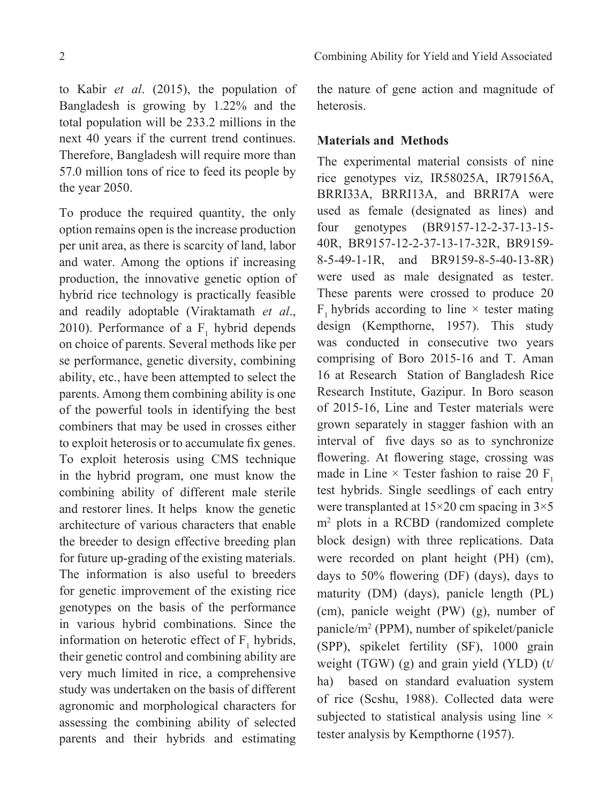to Kabir *et al*. (2015), the population of Bangladesh is growing by 1.22% and the total population will be 233.2 millions in the next 40 years if the current trend continues. Therefore, Bangladesh will require more than 57.0 million tons of rice to feed its people by the year 2050.

To produce the required quantity, the only option remains open is the increase production per unit area, as there is scarcity of land, labor and water. Among the options if increasing production, the innovative genetic option of hybrid rice technology is practically feasible and readily adoptable (Viraktamath *et al*., 2010). Performance of a  $F_1$  hybrid depends on choice of parents. Several methods like per se performance, genetic diversity, combining ability, etc., have been attempted to select the parents. Among them combining ability is one of the powerful tools in identifying the best combiners that may be used in crosses either to exploit heterosis or to accumulate fix genes. To exploit heterosis using CMS technique in the hybrid program, one must know the combining ability of different male sterile and restorer lines. It helps know the genetic architecture of various characters that enable the breeder to design effective breeding plan for future up-grading of the existing materials. The information is also useful to breeders for genetic improvement of the existing rice genotypes on the basis of the performance in various hybrid combinations. Since the information on heterotic effect of  $F_1$  hybrids, their genetic control and combining ability are very much limited in rice, a comprehensive study was undertaken on the basis of different agronomic and morphological characters for assessing the combining ability of selected parents and their hybrids and estimating the nature of gene action and magnitude of heterosis.

### **Materials and Methods**

The experimental material consists of nine rice genotypes viz, IR58025A, IR79156A, BRRI33A, BRRI13A, and BRRI7A were used as female (designated as lines) and four genotypes (BR9157-12-2-37-13-15- 40R, BR9157-12-2-37-13-17-32R, BR9159- 8-5-49-1-1R, and BR9159-8-5-40-13-8R) were used as male designated as tester. These parents were crossed to produce 20 F, hybrids according to line  $\times$  tester mating design (Kempthorne, 1957). This study was conducted in consecutive two years comprising of Boro 2015-16 and T. Aman 16 at Research Station of Bangladesh Rice Research Institute, Gazipur. In Boro season of 2015-16, Line and Tester materials were grown separately in stagger fashion with an interval of five days so as to synchronize flowering. At flowering stage, crossing was made in Line  $\times$  Tester fashion to raise 20 F<sub>1</sub> test hybrids. Single seedlings of each entry were transplanted at 15×20 cm spacing in 3×5 m2 plots in a RCBD (randomized complete block design) with three replications. Data were recorded on plant height (PH) (cm), days to 50% flowering (DF) (days), days to maturity (DM) (days), panicle length (PL) (cm), panicle weight (PW) (g), number of panicle/m2 (PPM), number of spikelet/panicle (SPP), spikelet fertility (SF), 1000 grain weight (TGW) (g) and grain yield (YLD) (t/ ha) based on standard evaluation system of rice (Scshu, 1988). Collected data were subjected to statistical analysis using line  $\times$ tester analysis by Kempthorne (1957).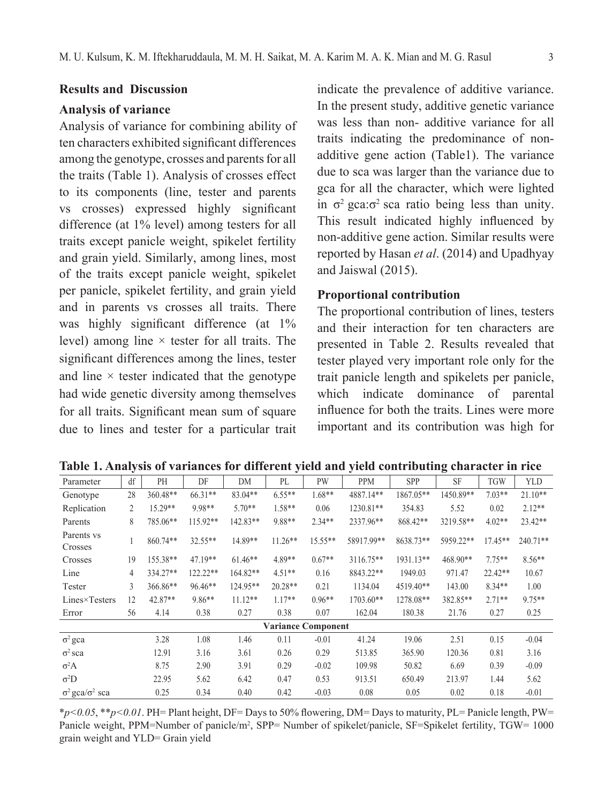#### **Results and Discussion**

### **Analysis of variance**

Analysis of variance for combining ability of ten characters exhibited significant differences among the genotype, crosses and parents for all the traits (Table 1). Analysis of crosses effect to its components (line, tester and parents vs crosses) expressed highly significant difference (at 1% level) among testers for all traits except panicle weight, spikelet fertility and grain yield. Similarly, among lines, most of the traits except panicle weight, spikelet per panicle, spikelet fertility, and grain yield and in parents vs crosses all traits. There was highly significant difference (at  $1\%$ ) level) among line  $\times$  tester for all traits. The significant differences among the lines, tester and line  $\times$  tester indicated that the genotype had wide genetic diversity among themselves for all traits. Significant mean sum of square due to lines and tester for a particular trait

indicate the prevalence of additive variance. In the present study, additive genetic variance was less than non- additive variance for all traits indicating the predominance of nonadditive gene action (Table1). The variance due to sca was larger than the variance due to gca for all the character, which were lighted in  $\sigma^2$  gca: $\sigma^2$  sca ratio being less than unity. This result indicated highly influenced by non-additive gene action. Similar results were reported by Hasan *et al*. (2014) and Upadhyay and Jaiswal (2015).

### **Proportional contribution**

The proportional contribution of lines, testers and their interaction for ten characters are presented in Table 2. Results revealed that tester played very important role only for the trait panicle length and spikelets per panicle, which indicate dominance of parental influence for both the traits. Lines were more important and its contribution was high for

| Parameter                      | df | <b>PH</b>  | DF         | DM         | PL        | <b>PW</b>                 | <b>PPM</b> | <b>SPP</b> | SF        | <b>TGW</b> | <b>YLD</b> |
|--------------------------------|----|------------|------------|------------|-----------|---------------------------|------------|------------|-----------|------------|------------|
| Genotype                       | 28 | $360.48**$ | 66.31**    | $83.04**$  | $6.55**$  | $1.68**$                  | 4887.14**  | 1867.05**  | 1450.89** | $7.03**$   | $21.10**$  |
| Replication                    | 2  | 15.29**    | 9.98**     | $5.70**$   | 1.58**    | 0.06                      | 1230.81**  | 354.83     | 5.52      | 0.02       | $2.12**$   |
| Parents                        | 8  | 785.06**   | $115.92**$ | 142.83**   | 9.88**    | $2.34**$                  | 2337.96**  | 868.42**   | 3219.58** | $4.02**$   | 23.42**    |
| Parents ys.<br>Crosses         |    | $860.74**$ | 32.55**    | 14.89**    | $11.26**$ | $15.55**$                 | 58917.99** | 8638.73**  | 5959.22** | 17.45**    | $240.71**$ |
| Crosses                        | 19 | 155.38**   | 47.19**    | $61.46**$  | 4.89**    | $0.67**$                  | 3116.75**  | 1931.13**  | 468.90**  | $7.75**$   | $8.56**$   |
| Line                           | 4  | 334.27**   | $122.22**$ | $164.82**$ | $4.51**$  | 0.16                      | 8843.22**  | 1949.03    | 971.47    | $22.42**$  | 10.67      |
| Tester                         | 3  | 366.86**   | $96.46**$  | $124.95**$ | $20.28**$ | 0.21                      | 1134.04    | 4519.40**  | 143.00    | $8.34**$   | 1.00       |
| Lines×Testers                  | 12 | 42.87**    | 9.86**     | $11.12**$  | $1.17**$  | $0.96**$                  | 1703.60**  | 1278.08**  | 382.85**  | $2.71**$   | 9.75**     |
| Error                          | 56 | 4.14       | 0.38       | 0.27       | 0.38      | 0.07                      | 162.04     | 180.38     | 21.76     | 0.27       | 0.25       |
|                                |    |            |            |            |           | <b>Variance Component</b> |            |            |           |            |            |
| $\sigma^2$ gca                 |    | 3.28       | 1.08       | 1.46       | 0.11      | $-0.01$                   | 41.24      | 19.06      | 2.51      | 0.15       | $-0.04$    |
| $\sigma^2$ sca                 |    | 12.91      | 3.16       | 3.61       | 0.26      | 0.29                      | 513.85     | 365.90     | 120.36    | 0.81       | 3.16       |
| $\sigma^2$ A                   |    | 8.75       | 2.90       | 3.91       | 0.29      | $-0.02$                   | 109.98     | 50.82      | 6.69      | 0.39       | $-0.09$    |
| $\sigma^2D$                    |    | 22.95      | 5.62       | 6.42       | 0.47      | 0.53                      | 913.51     | 650.49     | 213.97    | 1.44       | 5.62       |
| $\sigma^2$ gca/ $\sigma^2$ sca |    | 0.25       | 0.34       | 0.40       | 0.42      | $-0.03$                   | 0.08       | 0.05       | 0.02      | 0.18       | $-0.01$    |

**Table 1. Analysis of variances for different yield and yield contributing character in rice**

\**p<0.05*, \*\**p<0.01*. PH= Plant height, DF= Days to 50% flowering, DM= Days to maturity, PL= Panicle length, PW= Panicle weight, PPM=Number of panicle/m<sup>2</sup>, SPP= Number of spikelet/panicle, SF=Spikelet fertility, TGW= 1000 grain weight and YLD= Grain yield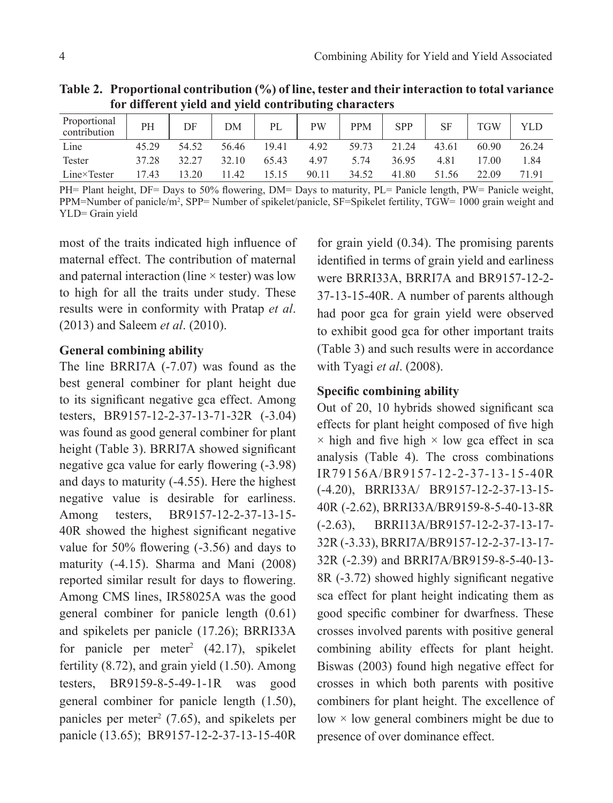| TVI UNICIUM yKRU ANU YKRU CONTIDUUING CHAI ACIUIS |       |       |       |       |           |            |            |           |            |       |  |  |
|---------------------------------------------------|-------|-------|-------|-------|-----------|------------|------------|-----------|------------|-------|--|--|
| Proportional<br>contribution                      | PH    | DF    | DM    | PL    | <b>PW</b> | <b>PPM</b> | <b>SPP</b> | <b>SF</b> | <b>TGW</b> | YLD   |  |  |
| Line                                              | 45.29 | 54.52 | 56.46 | 19.41 | 4.92      | 59.73      | 21.24      | 43.61     | 60.90      | 26.24 |  |  |
| Tester                                            | 37.28 | 32.27 | 32.10 | 65.43 | 497       | 5.74       | 36.95      | 481       | 17.00      | 1.84  |  |  |
| $Line \times Tester$                              | 17.43 | 13.20 | 11.42 | 15 15 | 90.11     | 34.52      | 41.80      | 51.56     | 22.09      | 71.91 |  |  |

**Table 2. Proportional contribution (%) of line, tester and their interaction to total variance for different yield and yield contributing characters**

PH= Plant height, DF= Days to 50% flowering, DM= Days to maturity, PL= Panicle length, PW= Panicle weight, PPM=Number of panicle/m<sup>2</sup>, SPP= Number of spikelet/panicle, SF=Spikelet fertility, TGW= 1000 grain weight and YLD= Grain yield

most of the traits indicated high influence of maternal effect. The contribution of maternal and paternal interaction (line  $\times$  tester) was low to high for all the traits under study. These results were in conformity with Pratap *et al*. (2013) and Saleem *et al*. (2010).

### **General combining ability**

The line BRRI7A (-7.07) was found as the best general combiner for plant height due to its significant negative gca effect. Among testers, BR9157-12-2-37-13-71-32R (-3.04) was found as good general combiner for plant height (Table 3). BRRI7A showed significant negative gca value for early flowering (-3.98) and days to maturity (-4.55). Here the highest negative value is desirable for earliness. Among testers, BR9157-12-2-37-13-15- 40R showed the highest significant negative value for 50% flowering (-3.56) and days to maturity (-4.15). Sharma and Mani (2008) reported similar result for days to flowering. Among CMS lines, IR58025A was the good general combiner for panicle length (0.61) and spikelets per panicle (17.26); BRRI33A for panicle per meter<sup>2</sup> (42.17), spikelet fertility (8.72), and grain yield (1.50). Among testers, BR9159-8-5-49-1-1R was good general combiner for panicle length (1.50), panicles per meter<sup>2</sup> (7.65), and spikelets per panicle (13.65); BR9157-12-2-37-13-15-40R

for grain yield (0.34). The promising parents identified in terms of grain yield and earliness were BRRI33A, BRRI7A and BR9157-12-2- 37-13-15-40R. A number of parents although had poor gca for grain yield were observed to exhibit good gca for other important traits (Table 3) and such results were in accordance with Tyagi *et al*. (2008).

### **Specific combining ability**

Out of 20, 10 hybrids showed significant sca effects for plant height composed of five high  $\times$  high and five high  $\times$  low gca effect in sca analysis (Table 4). The cross combinations IR79156A/BR9157-12-2-37-13-15-40R (-4.20), BRRI33A/ BR9157-12-2-37-13-15- 40R (-2.62), BRRI33A/BR9159-8-5-40-13-8R (-2.63), BRRI13A/BR9157-12-2-37-13-17- 32R (-3.33), BRRI7A/BR9157-12-2-37-13-17- 32R (-2.39) and BRRI7A/BR9159-8-5-40-13- 8R (-3.72) showed highly significant negative sca effect for plant height indicating them as good specific combiner for dwarfness. These crosses involved parents with positive general combining ability effects for plant height. Biswas (2003) found high negative effect for crosses in which both parents with positive combiners for plant height. The excellence of low  $\times$  low general combiners might be due to presence of over dominance effect.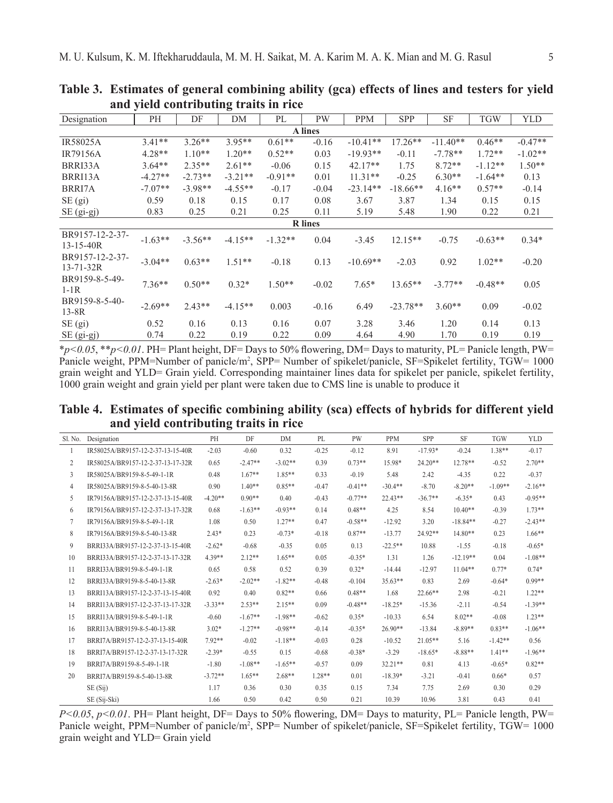| Designation                        | PН        | DF        | 0<br>DM   | PL        | <b>PW</b> | <b>PPM</b> | <b>SPP</b> | <b>SF</b>  | TGW       | <b>YLD</b> |  |
|------------------------------------|-----------|-----------|-----------|-----------|-----------|------------|------------|------------|-----------|------------|--|
| A lines                            |           |           |           |           |           |            |            |            |           |            |  |
| <b>IR58025A</b>                    | $3.41**$  | $3.26**$  | $3.95**$  | $0.61**$  | $-0.16$   | $-10.41**$ | $17.26**$  | $-11.40**$ | $0.46**$  | $-0.47**$  |  |
| <b>IR79156A</b>                    | $4.28**$  | $1.10**$  | $1.20**$  | $0.52**$  | 0.03      | $-19.93**$ | $-0.11$    | $-7.78**$  | $1.72**$  | $-1.02**$  |  |
| BRRI33A                            | $3.64**$  | $2.35**$  | $2.61**$  | $-0.06$   | 0.15      | $42.17**$  | 1.75       | $8.72**$   | $-1.12**$ | $1.50**$   |  |
| BRRI13A                            | $-4.27**$ | $-2.73**$ | $-3.21**$ | $-0.91**$ | 0.01      | $11.31**$  | $-0.25$    | $6.30**$   | $-1.64**$ | 0.13       |  |
| BRRI7A                             | $-7.07**$ | $-3.98**$ | $-4.55**$ | $-0.17$   | $-0.04$   | $-23.14**$ | $-18.66**$ | $4.16**$   | $0.57**$  | $-0.14$    |  |
| $SE$ (gi)                          | 0.59      | 0.18      | 0.15      | 0.17      | 0.08      | 3.67       | 3.87       | 1.34       | 0.15      | 0.15       |  |
| $SE$ (gi-gj)                       | 0.83      | 0.25      | 0.21      | 0.25      | 0.11      | 5.19       | 5.48       | 1.90       | 0.22      | 0.21       |  |
| <b>R</b> lines                     |           |           |           |           |           |            |            |            |           |            |  |
| BR9157-12-2-37-<br>$13 - 15 - 40R$ | $-1.63**$ | $-3.56**$ | $-4.15**$ | $-1.32**$ | 0.04      | $-3.45$    | $12.15**$  | $-0.75$    | $-0.63**$ | $0.34*$    |  |
| BR9157-12-2-37-<br>$13 - 71 - 32R$ | $-3.04**$ | $0.63**$  | $1.51**$  | $-0.18$   | 0.13      | $-10.69**$ | $-2.03$    | 0.92       | $1.02**$  | $-0.20$    |  |
| BR9159-8-5-49-<br>$1-1R$           | $7.36**$  | $0.50**$  | $0.32*$   | $1.50**$  | $-0.02$   | $7.65*$    | $13.65**$  | $-3.77**$  | $-0.48**$ | 0.05       |  |
| BR9159-8-5-40-<br>$13-8R$          | $-2.69**$ | $2.43**$  | $-4.15**$ | 0.003     | $-0.16$   | 6.49       | $-23.78**$ | $3.60**$   | 0.09      | $-0.02$    |  |
| SE (gi)                            | 0.52      | 0.16      | 0.13      | 0.16      | 0.07      | 3.28       | 3.46       | 1.20       | 0.14      | 0.13       |  |
| $SE$ (gi-gj)                       | 0.74      | 0.22      | 0.19      | 0.22      | 0.09      | 4.64       | 4.90       | 1.70       | 0.19      | 0.19       |  |

**Table 3. Estimates of general combining ability (gca) effects of lines and testers for yield and yield contributing traits in rice**

\**p<0.05*, \*\**p<0.01*. PH= Plant height, DF= Days to 50% flowering, DM= Days to maturity, PL= Panicle length, PW= Panicle weight, PPM=Number of panicle/m<sup>2</sup>, SPP= Number of spikelet/panicle, SF=Spikelet fertility, TGW= 1000 grain weight and YLD= Grain yield. Corresponding maintainer lines data for spikelet per panicle, spikelet fertility, 1000 grain weight and grain yield per plant were taken due to CMS line is unable to produce it

**Table 4. Estimates of specific combining ability (sca) effects of hybrids for different yield and yield contributing traits in rice**

| Sl. No.                  | Designation                       | PH        | DF        | <b>DM</b> | PL      | <b>PW</b> | <b>PPM</b> | SPP       | <b>SF</b>  | <b>TGW</b> | <b>YLD</b> |
|--------------------------|-----------------------------------|-----------|-----------|-----------|---------|-----------|------------|-----------|------------|------------|------------|
|                          | IR58025A/BR9157-12-2-37-13-15-40R | $-2.03$   | $-0.60$   | 0.32      | $-0.25$ | $-0.12$   | 8.91       | $-17.93*$ | $-0.24$    | 1.38**     | $-0.17$    |
| $\mathfrak{2}$           | IR58025A/BR9157-12-2-37-13-17-32R | 0.65      | $-2.47**$ | $-3.02**$ | 0.39    | $0.73**$  | 15.98*     | $24.20**$ | $12.78**$  | $-0.52$    | $2.70**$   |
| $\overline{\mathcal{E}}$ | IR58025A/BR9159-8-5-49-1-1R       | 0.48      | $1.67**$  | $1.85**$  | 0.33    | $-0.19$   | 5.48       | 2.42      | $-4.35$    | 0.22       | $-0.37$    |
| 4                        | IR58025A/BR9159-8-5-40-13-8R      | 0.90      | $1.40**$  | $0.85**$  | $-0.47$ | $-0.41**$ | $-30.4**$  | $-870$    | $-8.20**$  | $-1.09**$  | $-2.16**$  |
| 5                        | IR79156A/BR9157-12-2-37-13-15-40R | $-4.20**$ | $0.90**$  | 0.40      | $-0.43$ | $-0.77**$ | $22.43**$  | $-36.7**$ | $-6.35*$   | 0.43       | $-0.95**$  |
| 6                        | IR79156A/BR9157-12-2-37-13-17-32R | 0.68      | $-1.63**$ | $-0.93**$ | 0.14    | $0.48**$  | 4.25       | 8.54      | $10.40**$  | $-0.39$    | $1.73**$   |
| 7                        | IR79156A/BR9159-8-5-49-1-1R       | 1.08      | 0.50      | $127**$   | 0.47    | $-0.58**$ | $-12.92$   | 3.20      | $-18.84**$ | $-0.27$    | $-2.43**$  |
| 8                        | IR79156A/BR9159-8-5-40-13-8R      | $2.43*$   | 0.23      | $-0.73*$  | $-0.18$ | $0.87**$  | $-13.77$   | 24 92**   | $14.80**$  | 023        | $1.66**$   |
| 9                        | BRRI33A/BR9157-12-2-37-13-15-40R  | $-2.62*$  | $-0.68$   | $-0.35$   | 0.05    | 0.13      | $-22.5**$  | 10.88     | $-1.55$    | $-0.18$    | $-0.65*$   |
| 10                       | BRRI33A/BR9157-12-2-37-13-17-32R  | 4 39**    | $212**$   | $1.65**$  | 0.05    | $-0.35*$  | 1.31       | 1.26      | $-12.19**$ | 0.04       | $-1.08**$  |
| 11                       | BRRI33A/BR9159-8-5-49-1-1R        | 0.65      | 0.58      | 0.52      | 0.39    | $0.32*$   | $-14.44$   | $-12.97$  | $11.04**$  | $0.77*$    | $0.74*$    |
| 12                       | BRRI33A/BR9159-8-5-40-13-8R       | $-2.63*$  | $-2.02**$ | $-1.82**$ | $-0.48$ | $-0.104$  | $35.63**$  | 0.83      | 2.69       | $-0.64*$   | $0.99**$   |
| 13                       | BRRI13A/BR9157-12-2-37-13-15-40R  | 0.92      | 0.40      | $0.82**$  | 0.66    | $0.48**$  | 1.68       | 22.66**   | 2.98       | $-0.21$    | $122**$    |
| 14                       | BRRI13A/BR9157-12-2-37-13-17-32R  | $-3.33**$ | $2.53**$  | $2.15**$  | 0.09    | $-0.48**$ | $-18.25*$  | $-15.36$  | $-2.11$    | $-0.54$    | $-1.39**$  |
| 15                       | BRRI13A/BR9159-8-5-49-1-1R        | $-0.60$   | $-1.67**$ | $-1.98**$ | $-0.62$ | $0.35*$   | $-10.33$   | 6.54      | $8.02**$   | $-0.08$    | $1.23**$   |
| 16                       | BRRI13A/BR9159-8-5-40-13-8R       | $3.02*$   | $-1.27**$ | $-0.98**$ | $-0.14$ | $-0.35*$  | $26.90**$  | $-13.84$  | $-8.89**$  | $0.83**$   | $-1.06**$  |
| 17                       | BRRI7A/BR9157-12-2-37-13-15-40R   | 792**     | $-0.02$   | $-1.18**$ | $-0.03$ | 0.28      | $-10.52$   | $21.05**$ | 5.16       | $-1.42**$  | 0.56       |
| 18                       | BRRI7A/BR9157-12-2-37-13-17-32R   | $-2.39*$  | $-0.55$   | 0.15      | $-0.68$ | $-0.38*$  | $-3.29$    | $-18.65*$ | $-8.88**$  | $1.41**$   | $-1.96**$  |
| 19                       | BRRI7A/BR9159-8-5-49-1-1R         | $-180$    | $-1.08**$ | $-1.65**$ | $-0.57$ | 0.09      | $32.21**$  | 0.81      | 4 1 3      | $-0.65*$   | $0.82**$   |
| 20                       | BRRI7A/BR9159-8-5-40-13-8R        | $-3.72**$ | $1.65**$  | $2.68**$  | $128**$ | 0.01      | $-18.39*$  | $-3.21$   | $-0.41$    | $0.66*$    | 0.57       |
|                          | SE(Sij)                           | 1.17      | 0.36      | 0.30      | 0.35    | 0.15      | 7.34       | 7.75      | 2.69       | 0.30       | 0.29       |
|                          | SE (Sij-Ski)                      | 1.66      | 0.50      | 0.42      | 0.50    | 0.21      | 10.39      | 10.96     | 3.81       | 0.43       | 0.41       |

 $P \le 0.05$ ,  $p \le 0.01$ . PH= Plant height, DF= Days to 50% flowering, DM= Days to maturity, PL= Panicle length, PW= Panicle weight, PPM=Number of panicle/m<sup>2</sup>, SPP= Number of spikelet/panicle, SF=Spikelet fertility, TGW= 1000 grain weight and YLD= Grain yield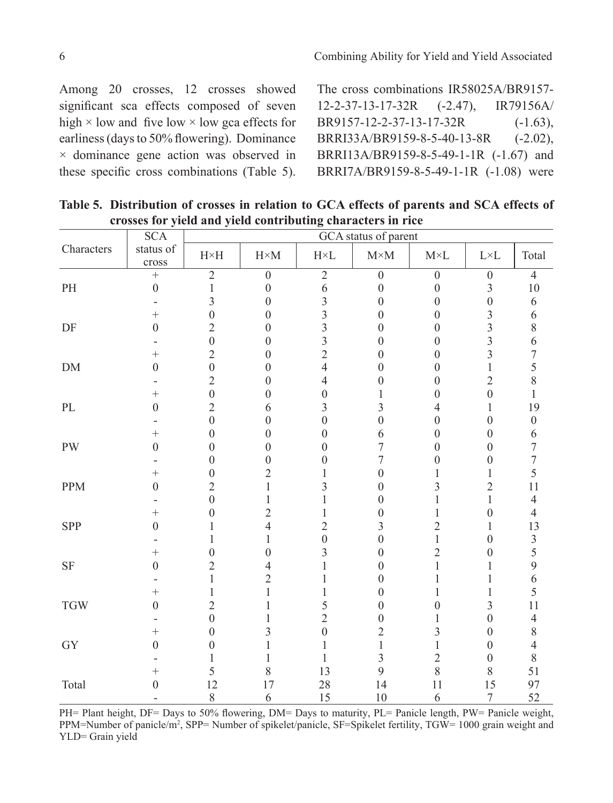Among 20 crosses, 12 crosses showed significant sca effects composed of seven high  $\times$  low and five low  $\times$  low gca effects for earliness (days to 50% flowering). Dominance × dominance gene action was observed in

these specific cross combinations (Table 5).

The cross combinations IR58025A/BR9157- 12-2-37-13-17-32R (-2.47), IR79156A/ BR9157-12-2-37-13-17-32R (-1.63), BRRI33A/BR9159-8-5-40-13-8R (-2.02), BRRI13A/BR9159-8-5-49-1-1R (-1.67) and BRRI7A/BR9159-8-5-49-1-1R (-1.08) were

|                                   | $\overline{SCA}$   | GCA status of parent                        |                  |                                      |                  |                  |                  |                  |  |  |  |  |
|-----------------------------------|--------------------|---------------------------------------------|------------------|--------------------------------------|------------------|------------------|------------------|------------------|--|--|--|--|
| Characters                        | status of<br>cross | $\ensuremath{\mathrm{H}{\times}\mathrm{H}}$ | $H \times M$     | $\mathbf{H}\!\!\times\!\!\mathbf{L}$ | $M\times M$      | $M\times L$      | $L\times L$      | Total            |  |  |  |  |
|                                   | $^{+}$             | $\overline{2}$                              | $\overline{0}$   | $\overline{2}$                       | $\overline{0}$   | $\overline{0}$   | $\overline{0}$   | $\overline{4}$   |  |  |  |  |
| $\ensuremath{\mathrm{PH}}\xspace$ | $\boldsymbol{0}$   | $\,1$                                       | $\boldsymbol{0}$ | $\sqrt{6}$                           | $\boldsymbol{0}$ | $\boldsymbol{0}$ | 3                | $10\,$           |  |  |  |  |
|                                   |                    | 3                                           | $\boldsymbol{0}$ | $\overline{\mathbf{3}}$              | $\boldsymbol{0}$ | $\overline{0}$   | $\boldsymbol{0}$ | $\sqrt{6}$       |  |  |  |  |
|                                   | $^{+}$             | $\overline{0}$                              | $\boldsymbol{0}$ | $\overline{3}$                       | $\boldsymbol{0}$ | $\boldsymbol{0}$ | 3                | 6                |  |  |  |  |
| DF                                | $\boldsymbol{0}$   | $\overline{2}$                              | $\boldsymbol{0}$ | $\overline{\mathbf{3}}$              | $\boldsymbol{0}$ | $\boldsymbol{0}$ | 3                | $\,$ $\,$        |  |  |  |  |
|                                   |                    | $\boldsymbol{0}$                            | $\boldsymbol{0}$ | $\overline{3}$                       | $\boldsymbol{0}$ | $\boldsymbol{0}$ | $\overline{3}$   | 6                |  |  |  |  |
|                                   | $\ddot{}$          | $\overline{2}$                              | $\boldsymbol{0}$ | $\overline{c}$                       | $\mathbf{0}$     | $\boldsymbol{0}$ | $\overline{3}$   | $\overline{7}$   |  |  |  |  |
| $DM$                              | $\theta$           | $\mathbf{0}$                                | $\boldsymbol{0}$ | $\overline{4}$                       | $\theta$         | $\boldsymbol{0}$ | 1                | 5                |  |  |  |  |
|                                   |                    | $\overline{2}$                              | $\boldsymbol{0}$ | $\overline{4}$                       | $\theta$         | $\boldsymbol{0}$ | $\overline{2}$   | 8                |  |  |  |  |
|                                   | $^+$               | $\overline{0}$                              | $\theta$         | $\boldsymbol{0}$                     | 1                | $\boldsymbol{0}$ | $\mathbf{0}$     | $\mathbf{1}$     |  |  |  |  |
| $\rm PL$                          | $\theta$           | $\overline{2}$                              | 6                | 3                                    | 3                | 4                | 1                | 19               |  |  |  |  |
|                                   |                    | $\overline{0}$                              | $\boldsymbol{0}$ | $\boldsymbol{0}$                     | $\overline{0}$   | $\boldsymbol{0}$ | $\boldsymbol{0}$ | $\boldsymbol{0}$ |  |  |  |  |
|                                   | $^+$               | $\boldsymbol{0}$                            | $\boldsymbol{0}$ | $\boldsymbol{0}$                     | 6                | $\boldsymbol{0}$ | $\boldsymbol{0}$ | 6                |  |  |  |  |
| <b>PW</b>                         | $\theta$           | $\theta$                                    | $\boldsymbol{0}$ | $\overline{0}$                       | 7                | $\boldsymbol{0}$ | $\theta$         | $\boldsymbol{7}$ |  |  |  |  |
|                                   |                    | 0                                           | $\boldsymbol{0}$ | 0                                    | 7                | $\boldsymbol{0}$ | $\boldsymbol{0}$ | $\overline{7}$   |  |  |  |  |
|                                   | $^{+}$             | 0                                           | $\overline{2}$   | 1                                    | $\overline{0}$   | 1                | 1                | 5                |  |  |  |  |
| <b>PPM</b>                        | $\theta$           | $\overline{2}$                              | $\mathbf{1}$     | 3                                    | $\overline{0}$   | 3                | $\overline{c}$   | 11               |  |  |  |  |
|                                   |                    | $\mathbf{0}$                                | 1                | $\mathbf{1}$                         | $\overline{0}$   | 1                | 1                | $\overline{4}$   |  |  |  |  |
|                                   | $\overline{+}$     | $\overline{0}$                              | $\overline{2}$   | 1                                    | $\boldsymbol{0}$ | 1                | $\boldsymbol{0}$ | $\overline{4}$   |  |  |  |  |
| SPP                               | $\theta$           | 1                                           | $\overline{4}$   | $\overline{c}$                       | 3                | $\overline{2}$   | 1                | 13               |  |  |  |  |
|                                   |                    | 1                                           | 1                | $\boldsymbol{0}$                     | $\mathbf{0}$     | 1                | $\boldsymbol{0}$ | $\mathfrak{Z}$   |  |  |  |  |
|                                   | $^{+}$             | $\overline{0}$                              | $\mathbf{0}$     | 3                                    | $\overline{0}$   | $\overline{c}$   | $\boldsymbol{0}$ | 5                |  |  |  |  |
| $\rm{SF}$                         | $\theta$           | $\overline{c}$                              | $\overline{4}$   | 1                                    | $\overline{0}$   | 1                | 1                | 9                |  |  |  |  |
|                                   |                    | $\mathbf{1}$                                | $\overline{c}$   | 1                                    | $\theta$         | 1                | 1                | 6                |  |  |  |  |
|                                   | $^+$               | 1                                           | $\mathbf{1}$     | $\mathbf{1}$                         | $\theta$         | 1                | 1                | 5                |  |  |  |  |
| $\operatorname{TGW}$              | $\theta$           | $\overline{2}$                              | 1                | 5                                    | $\theta$         | $\boldsymbol{0}$ | 3                | 11               |  |  |  |  |
|                                   |                    | $\mathbf{0}$                                | 1                | $\overline{2}$                       | $\mathbf{0}$     | 1                | $\boldsymbol{0}$ | $\overline{4}$   |  |  |  |  |
|                                   | $^{+}$             | $\overline{0}$                              | 3                | $\boldsymbol{0}$                     | $\overline{2}$   | 3                | $\boldsymbol{0}$ | $8\,$            |  |  |  |  |
| GY                                | $\theta$           | 0                                           | 1                | 1                                    | 1                | 1                | $\theta$         | $\overline{4}$   |  |  |  |  |
|                                   |                    | 1                                           | 1                | 1                                    | 3                | $\overline{2}$   | $\boldsymbol{0}$ | $\,$ $\,$        |  |  |  |  |
|                                   | $^{+}$             | 5                                           | 8                | 13                                   | 9                | 8                | $8\,$            | 51               |  |  |  |  |
| Total                             | $\boldsymbol{0}$   | 12                                          | 17               | $28\,$                               | 14               | 11               | 15               | 97               |  |  |  |  |
|                                   |                    | 8                                           | 6                | 15                                   | 10               | 6                | $\tau$           | 52               |  |  |  |  |

**Table 5. Distribution of crosses in relation to GCA effects of parents and SCA effects of crosses for yield and yield contributing characters in rice**

PH= Plant height, DF= Days to 50% flowering, DM= Days to maturity, PL= Panicle length, PW= Panicle weight, PPM=Number of panicle/m<sup>2</sup>, SPP= Number of spikelet/panicle, SF=Spikelet fertility, TGW= 1000 grain weight and YLD= Grain yield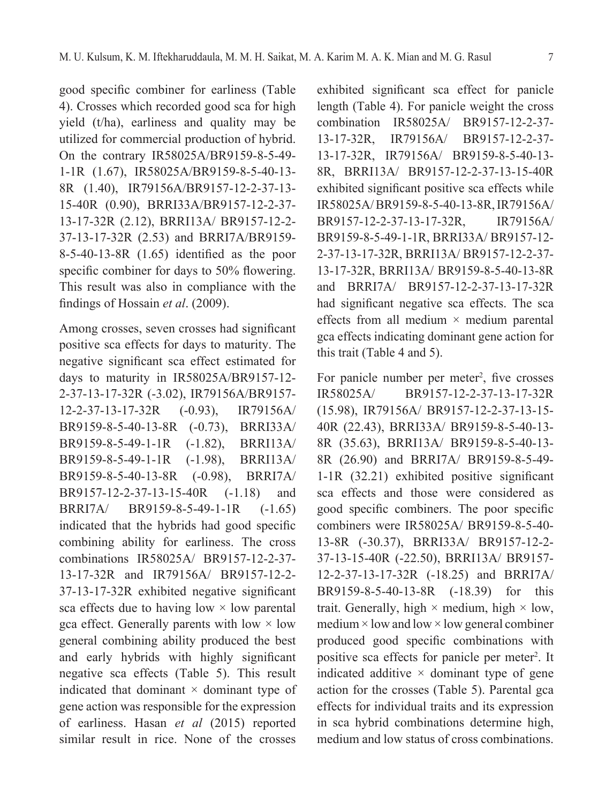good specific combiner for earliness (Table 4). Crosses which recorded good sca for high yield (t/ha), earliness and quality may be utilized for commercial production of hybrid. On the contrary IR58025A/BR9159-8-5-49- 1-1R (1.67), IR58025A/BR9159-8-5-40-13- 8R (1.40), IR79156A/BR9157-12-2-37-13- 15-40R (0.90), BRRI33A/BR9157-12-2-37- 13-17-32R (2.12), BRRI13A/ BR9157-12-2- 37-13-17-32R (2.53) and BRRI7A/BR9159- 8-5-40-13-8R (1.65) identified as the poor specific combiner for days to 50% flowering. This result was also in compliance with the findings of Hossain *et al*. (2009).

Among crosses, seven crosses had significant positive sca effects for days to maturity. The negative significant sca effect estimated for days to maturity in IR58025A/BR9157-12- 2-37-13-17-32R (-3.02), IR79156A/BR9157- 12-2-37-13-17-32R (-0.93), IR79156A/ BR9159-8-5-40-13-8R (-0.73), BRRI33A/ BR9159-8-5-49-1-1R (-1.82), BRRI13A/ BR9159-8-5-49-1-1R (-1.98), BRRI13A/ BR9159-8-5-40-13-8R (-0.98), BRRI7A/ BR9157-12-2-37-13-15-40R (-1.18) and BRRI7A/ BR9159-8-5-49-1-1R (-1.65) indicated that the hybrids had good specific combining ability for earliness. The cross combinations IR58025A/ BR9157-12-2-37- 13-17-32R and IR79156A/ BR9157-12-2- 37-13-17-32R exhibited negative significant sca effects due to having low  $\times$  low parental gca effect. Generally parents with low  $\times$  low general combining ability produced the best and early hybrids with highly significant negative sca effects (Table 5). This result indicated that dominant  $\times$  dominant type of gene action was responsible for the expression of earliness. Hasan *et al* (2015) reported similar result in rice. None of the crosses

exhibited significant sca effect for panicle length (Table 4). For panicle weight the cross combination IR58025A/ BR9157-12-2-37- 13-17-32R, IR79156A/ BR9157-12-2-37- 13-17-32R, IR79156A/ BR9159-8-5-40-13- 8R, BRRI13A/ BR9157-12-2-37-13-15-40R exhibited significant positive sca effects while IR58025A/ BR9159-8-5-40-13-8R, IR79156A/ BR9157-12-2-37-13-17-32R, IR79156A/ BR9159-8-5-49-1-1R, BRRI33A/ BR9157-12- 2-37-13-17-32R, BRRI13A/ BR9157-12-2-37- 13-17-32R, BRRI13A/ BR9159-8-5-40-13-8R and BRRI7A/ BR9157-12-2-37-13-17-32R had significant negative sca effects. The sca effects from all medium  $\times$  medium parental gca effects indicating dominant gene action for this trait (Table 4 and 5).

For panicle number per meter<sup>2</sup>, five crosses IR58025A/ BR9157-12-2-37-13-17-32R (15.98), IR79156A/ BR9157-12-2-37-13-15- 40R (22.43), BRRI33A/ BR9159-8-5-40-13- 8R (35.63), BRRI13A/ BR9159-8-5-40-13- 8R (26.90) and BRRI7A/ BR9159-8-5-49- 1-1R (32.21) exhibited positive significant sca effects and those were considered as good specific combiners. The poor specific combiners were IR58025A/ BR9159-8-5-40- 13-8R (-30.37), BRRI33A/ BR9157-12-2- 37-13-15-40R (-22.50), BRRI13A/ BR9157- 12-2-37-13-17-32R (-18.25) and BRRI7A/ BR9159-8-5-40-13-8R (-18.39) for this trait. Generally, high  $\times$  medium, high  $\times$  low,  $median \times low$  and  $low \times low$  general combiner produced good specific combinations with positive sca effects for panicle per meter<sup>2</sup>. It indicated additive  $\times$  dominant type of gene action for the crosses (Table 5). Parental gca effects for individual traits and its expression in sca hybrid combinations determine high, medium and low status of cross combinations.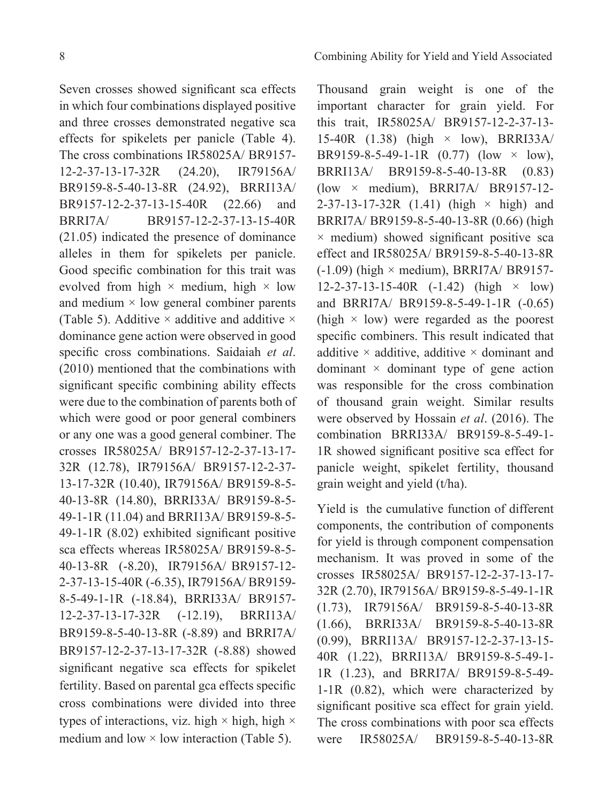Seven crosses showed significant sca effects in which four combinations displayed positive and three crosses demonstrated negative sca effects for spikelets per panicle (Table 4). The cross combinations IR58025A/ BR9157- 12-2-37-13-17-32R (24.20), IR79156A/ BR9159-8-5-40-13-8R (24.92), BRRI13A/ BR9157-12-2-37-13-15-40R (22.66) and BRRI7A/ BR9157-12-2-37-13-15-40R (21.05) indicated the presence of dominance alleles in them for spikelets per panicle. Good specific combination for this trait was evolved from high  $\times$  medium, high  $\times$  low and medium  $\times$  low general combiner parents (Table 5). Additive  $\times$  additive and additive  $\times$ dominance gene action were observed in good specific cross combinations. Saidaiah *et al*. (2010) mentioned that the combinations with significant specific combining ability effects were due to the combination of parents both of which were good or poor general combiners or any one was a good general combiner. The crosses IR58025A/ BR9157-12-2-37-13-17- 32R (12.78), IR79156A/ BR9157-12-2-37- 13-17-32R (10.40), IR79156A/ BR9159-8-5- 40-13-8R (14.80), BRRI33A/ BR9159-8-5- 49-1-1R (11.04) and BRRI13A/ BR9159-8-5- 49-1-1R (8.02) exhibited significant positive sca effects whereas IR58025A/ BR9159-8-5- 40-13-8R (-8.20), IR79156A/ BR9157-12- 2-37-13-15-40R (-6.35), IR79156A/ BR9159- 8-5-49-1-1R (-18.84), BRRI33A/ BR9157- 12-2-37-13-17-32R (-12.19), BRRI13A/ BR9159-8-5-40-13-8R (-8.89) and BRRI7A/ BR9157-12-2-37-13-17-32R (-8.88) showed significant negative sca effects for spikelet fertility. Based on parental gca effects specific cross combinations were divided into three types of interactions, viz. high  $\times$  high, high  $\times$ medium and low  $\times$  low interaction (Table 5).

Thousand grain weight is one of the important character for grain yield. For this trait, IR58025A/ BR9157-12-2-37-13- 15-40R  $(1.38)$  (high  $\times$  low), BRRI33A/ BR9159-8-5-49-1-1R  $(0.77)$   $(low \times low)$ , BRRI13A/ BR9159-8-5-40-13-8R (0.83) (low × medium), BRRI7A/ BR9157-12-  $2-37-13-17-32R$  (1.41) (high  $\times$  high) and BRRI7A/ BR9159-8-5-40-13-8R (0.66) (high  $\times$  medium) showed significant positive sca effect and IR58025A/ BR9159-8-5-40-13-8R  $(-1.09)$  (high  $\times$  medium), BRRI7A/ BR9157- $12-2-37-13-15-40R$   $(-1.42)$  (high  $\times$  low) and BRRI7A/ BR9159-8-5-49-1-1R (-0.65) (high  $\times$  low) were regarded as the poorest specific combiners. This result indicated that additive  $\times$  additive, additive  $\times$  dominant and dominant  $\times$  dominant type of gene action was responsible for the cross combination of thousand grain weight. Similar results were observed by Hossain *et al*. (2016). The combination BRRI33A/ BR9159-8-5-49-1- 1R showed significant positive sca effect for panicle weight, spikelet fertility, thousand grain weight and yield (t/ha).

Yield is the cumulative function of different components, the contribution of components for yield is through component compensation mechanism. It was proved in some of the crosses IR58025A/ BR9157-12-2-37-13-17- 32R (2.70), IR79156A/ BR9159-8-5-49-1-1R (1.73), IR79156A/ BR9159-8-5-40-13-8R (1.66), BRRI33A/ BR9159-8-5-40-13-8R (0.99), BRRI13A/ BR9157-12-2-37-13-15- 40R (1.22), BRRI13A/ BR9159-8-5-49-1- 1R (1.23), and BRRI7A/ BR9159-8-5-49- 1-1R (0.82), which were characterized by significant positive sca effect for grain yield. The cross combinations with poor sca effects were IR58025A/ BR9159-8-5-40-13-8R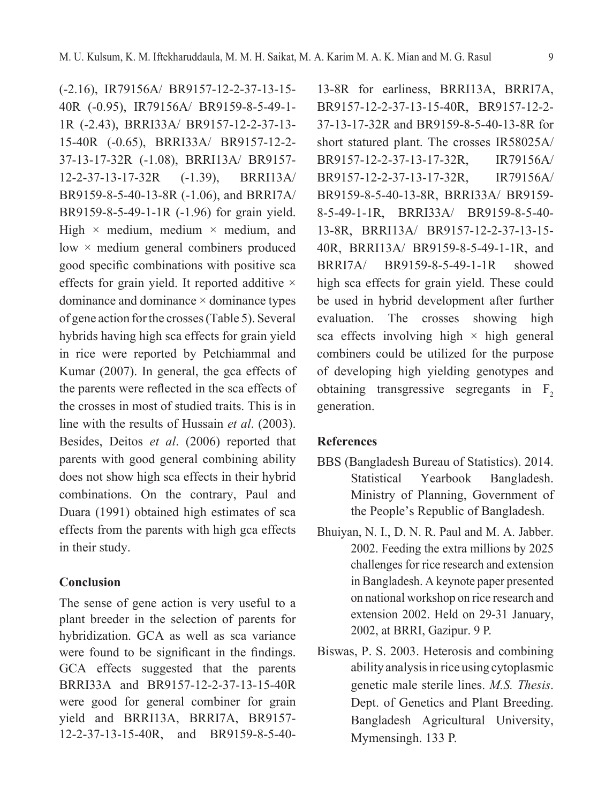(-2.16), IR79156A/ BR9157-12-2-37-13-15- 40R (-0.95), IR79156A/ BR9159-8-5-49-1- 1R (-2.43), BRRI33A/ BR9157-12-2-37-13- 15-40R (-0.65), BRRI33A/ BR9157-12-2- 37-13-17-32R (-1.08), BRRI13A/ BR9157- 12-2-37-13-17-32R (-1.39), BRRI13A/ BR9159-8-5-40-13-8R (-1.06), and BRRI7A/ BR9159-8-5-49-1-1R (-1.96) for grain yield. High  $\times$  medium, medium  $\times$  medium, and low × medium general combiners produced good specific combinations with positive sca effects for grain yield. It reported additive  $\times$ dominance and dominance × dominance types of gene action for the crosses (Table 5). Several hybrids having high sca effects for grain yield in rice were reported by Petchiammal and Kumar (2007). In general, the gca effects of the parents were reflected in the sca effects of the crosses in most of studied traits. This is in line with the results of Hussain *et al*. (2003). Besides, Deitos *et al*. (2006) reported that parents with good general combining ability does not show high sca effects in their hybrid combinations. On the contrary, Paul and Duara (1991) obtained high estimates of sca effects from the parents with high gca effects in their study.

### **Conclusion**

The sense of gene action is very useful to a plant breeder in the selection of parents for hybridization. GCA as well as sca variance were found to be significant in the findings. GCA effects suggested that the parents BRRI33A and BR9157-12-2-37-13-15-40R were good for general combiner for grain yield and BRRI13A, BRRI7A, BR9157- 12-2-37-13-15-40R, and BR9159-8-5-40-

13-8R for earliness, BRRI13A, BRRI7A, BR9157-12-2-37-13-15-40R, BR9157-12-2- 37-13-17-32R and BR9159-8-5-40-13-8R for short statured plant. The crosses IR58025A/ BR9157-12-2-37-13-17-32R, IR79156A/ BR9157-12-2-37-13-17-32R, IR79156A/ BR9159-8-5-40-13-8R, BRRI33A/ BR9159- 8-5-49-1-1R, BRRI33A/ BR9159-8-5-40- 13-8R, BRRI13A/ BR9157-12-2-37-13-15- 40R, BRRI13A/ BR9159-8-5-49-1-1R, and BRRI7A/ BR9159-8-5-49-1-1R showed high sca effects for grain yield. These could be used in hybrid development after further evaluation. The crosses showing high sca effects involving high  $\times$  high general combiners could be utilized for the purpose of developing high yielding genotypes and obtaining transgressive segregants in  $F<sub>2</sub>$ generation.

#### **References**

- BBS (Bangladesh Bureau of Statistics). 2014. Statistical Yearbook Bangladesh. Ministry of Planning, Government of the People's Republic of Bangladesh.
- Bhuiyan, N. I., D. N. R. Paul and M. A. Jabber. 2002. Feeding the extra millions by 2025 challenges for rice research and extension in Bangladesh. A keynote paper presented on national workshop on rice research and extension 2002. Held on 29-31 January, 2002, at BRRI, Gazipur. 9 P.
- Biswas, P. S. 2003. Heterosis and combining ability analysis in rice using cytoplasmic genetic male sterile lines. *M.S. Thesis*. Dept. of Genetics and Plant Breeding. Bangladesh Agricultural University, Mymensingh. 133 P.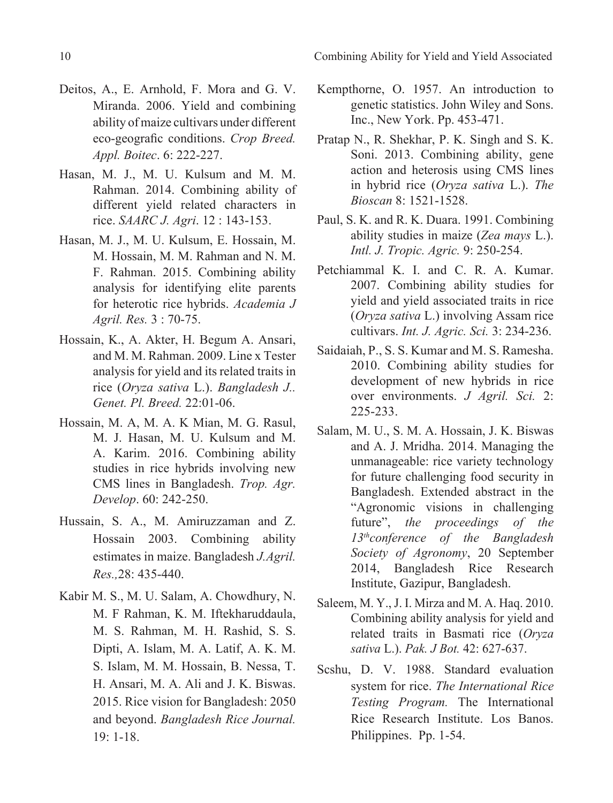10 Combining Ability for Yield and Yield Associated

- Deitos, A., E. Arnhold, F. Mora and G. V. Miranda. 2006. Yield and combining ability of maize cultivars under different eco-geografic conditions. *Crop Breed. Appl. Boitec*. 6: 222-227.
- Hasan, M. J., M. U. Kulsum and M. M. Rahman. 2014. Combining ability of different yield related characters in rice. *SAARC J. Agri*. 12 : 143-153.
- Hasan, M. J., M. U. Kulsum, E. Hossain, M. M. Hossain, M. M. Rahman and N. M. F. Rahman. 2015. Combining ability analysis for identifying elite parents for heterotic rice hybrids. *Academia J Agril. Res.* 3 : 70-75.
- Hossain, K., A. Akter, H. Begum A. Ansari, and M. M. Rahman. 2009. Line x Tester analysis for yield and its related traits in rice (*Oryza sativa* L.). *Bangladesh J.. Genet. Pl. Breed.* 22:01-06.
- Hossain, M. A, M. A. K Mian, M. G. Rasul, M. J. Hasan, M. U. Kulsum and M. A. Karim. 2016. Combining ability studies in rice hybrids involving new CMS lines in Bangladesh. *Trop. Agr. Develop*. 60: 242-250.
- Hussain, S. A., M. Amiruzzaman and Z. Hossain 2003. Combining ability estimates in maize. Bangladesh *J.Agril. Res.,*28: 435-440.
- Kabir M. S., M. U. Salam, A. Chowdhury, N. M. F Rahman, K. M. Iftekharuddaula, M. S. Rahman, M. H. Rashid, S. S. Dipti, A. Islam, M. A. Latif, A. K. M. S. Islam, M. M. Hossain, B. Nessa, T. H. Ansari, M. A. Ali and J. K. Biswas. 2015. Rice vision for Bangladesh: 2050 and beyond. *Bangladesh Rice Journal.*  19: 1-18.
- Kempthorne, O. 1957. An introduction to genetic statistics. John Wiley and Sons. Inc., New York. Pp. 453-471.
- Pratap N., R. Shekhar, P. K. Singh and S. K. Soni. 2013. Combining ability, gene action and heterosis using CMS lines in hybrid rice (*Oryza sativa* L.). *The Bioscan* 8: 1521-1528.
- Paul, S. K. and R. K. Duara. 1991. Combining ability studies in maize (*Zea mays* L.). *Intl. J. Tropic. Agric.* 9: 250-254.
- Petchiammal K. I. and C. R. A. Kumar. 2007. Combining ability studies for yield and yield associated traits in rice (*Oryza sativa* L.) involving Assam rice cultivars. *Int. J. Agric. Sci.* 3: 234-236.
- Saidaiah, P., S. S. Kumar and M. S. Ramesha. 2010. Combining ability studies for development of new hybrids in rice over environments. *J Agril. Sci.* 2: 225-233.
- Salam, M. U., S. M. A. Hossain, J. K. Biswas and A. J. Mridha. 2014. Managing the unmanageable: rice variety technology for future challenging food security in Bangladesh. Extended abstract in the "Agronomic visions in challenging future", *the proceedings of the 13thconference of the Bangladesh Society of Agronomy*, 20 September 2014, Bangladesh Rice Research Institute, Gazipur, Bangladesh.
- Saleem, M. Y., J. I. Mirza and M. A. Haq. 2010. Combining ability analysis for yield and related traits in Basmati rice (*Oryza sativa* L.). *Pak. J Bot.* 42: 627-637.
- Scshu, D. V. 1988. Standard evaluation system for rice. *The International Rice Testing Program.* The International Rice Research Institute. Los Banos. Philippines. Pp. 1-54.